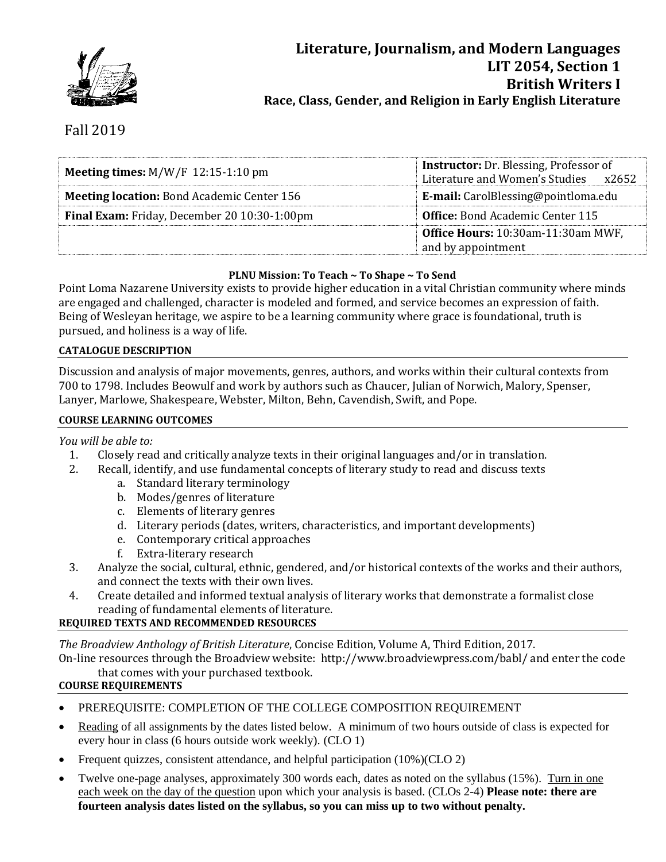

# Fall 2019

| <b>Meeting times:</b> $M/W/F$ 12:15-1:10 pm       | <b>Instructor:</b> Dr. Blessing, Professor of<br>Literature and Women's Studies x2652 |  |
|---------------------------------------------------|---------------------------------------------------------------------------------------|--|
| <b>Meeting location:</b> Bond Academic Center 156 | <b>E-mail:</b> CarolBlessing@pointloma.edu                                            |  |
| Final Exam: Friday, December 20 10:30-1:00pm      | <b>Office:</b> Bond Academic Center 115                                               |  |
|                                                   | Office Hours: 10:30am-11:30am MWF,<br>and by appointment                              |  |

## **PLNU Mission: To Teach ~ To Shape ~ To Send**

Point Loma Nazarene University exists to provide higher education in a vital Christian community where minds are engaged and challenged, character is modeled and formed, and service becomes an expression of faith. Being of Wesleyan heritage, we aspire to be a learning community where grace is foundational, truth is pursued, and holiness is a way of life.

## **CATALOGUE DESCRIPTION**

Discussion and analysis of major movements, genres, authors, and works within their cultural contexts from 700 to 1798. Includes Beowulf and work by authors such as Chaucer, Julian of Norwich, Malory, Spenser, Lanyer, Marlowe, Shakespeare, Webster, Milton, Behn, Cavendish, Swift, and Pope.

## **COURSE LEARNING OUTCOMES**

## *You will be able to:*

- 1. Closely read and critically analyze texts in their original languages and/or in translation.
- 2. Recall, identify, and use fundamental concepts of literary study to read and discuss texts
	- a. Standard literary terminology
	- b. Modes/genres of literature
	- c. Elements of literary genres
	- d. Literary periods (dates, writers, characteristics, and important developments)
	- e. Contemporary critical approaches
	- f. Extra-literary research
- 3. Analyze the social, cultural, ethnic, gendered, and/or historical contexts of the works and their authors, and connect the texts with their own lives.
- 4. Create detailed and informed textual analysis of literary works that demonstrate a formalist close reading of fundamental elements of literature.

## **REQUIRED TEXTS AND RECOMMENDED RESOURCES**

*The Broadview Anthology of British Literature*, Concise Edition, Volume A, Third Edition, 2017. On-line resources through the Broadview website: http://www.broadviewpress.com/babl/ and enter the code that comes with your purchased textbook.

## **COURSE REQUIREMENTS**

- PREREQUISITE: COMPLETION OF THE COLLEGE COMPOSITION REQUIREMENT
- Reading of all assignments by the dates listed below. A minimum of two hours outside of class is expected for every hour in class (6 hours outside work weekly). (CLO 1)
- Frequent quizzes, consistent attendance, and helpful participation (10%)(CLO 2)
- Twelve one-page analyses, approximately 300 words each, dates as noted on the syllabus (15%). Turn in one each week on the day of the question upon which your analysis is based. (CLOs 2-4) **Please note: there are fourteen analysis dates listed on the syllabus, so you can miss up to two without penalty.**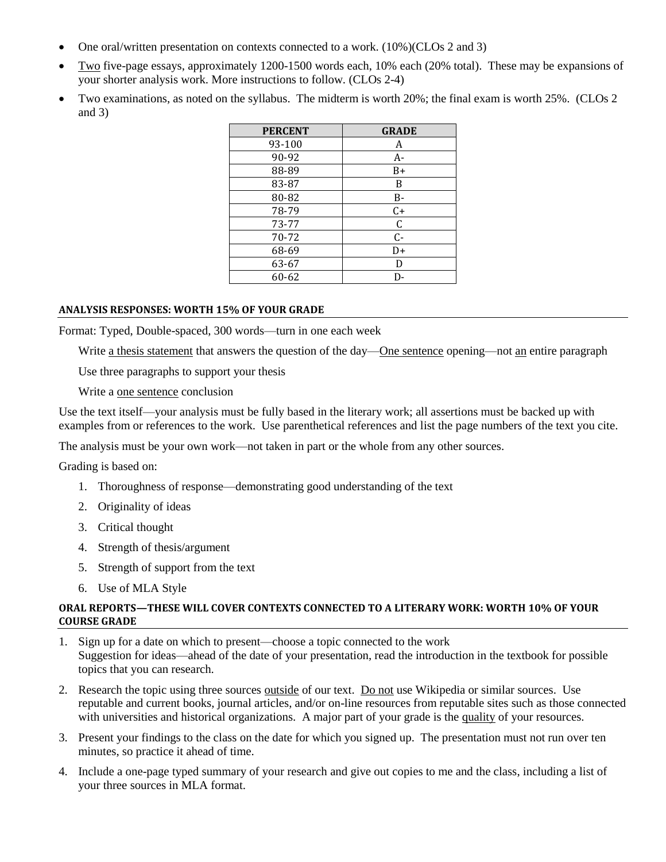- One oral/written presentation on contexts connected to a work. (10%)(CLOs 2 and 3)
- Two five-page essays, approximately 1200-1500 words each, 10% each (20% total). These may be expansions of your shorter analysis work. More instructions to follow. (CLOs 2-4)
- Two examinations, as noted on the syllabus. The midterm is worth 20%; the final exam is worth 25%. (CLOs 2 and 3)

| <b>PERCENT</b> | <b>GRADE</b> |
|----------------|--------------|
| 93-100         | A            |
| 90-92          | A-           |
| 88-89          | B+           |
| 83-87          | B            |
| 80-82          | B-           |
| 78-79          | $C+$         |
| 73-77          | C            |
| 70-72          | C-           |
| 68-69          | D+           |
| 63-67          | D            |
| 60-62          | D-           |

#### **ANALYSIS RESPONSES: WORTH 15% OF YOUR GRADE**

Format: Typed, Double-spaced, 300 words—turn in one each week

Write <u>a thesis statement</u> that answers the question of the day—<u>One sentence</u> opening—not an entire paragraph

Use three paragraphs to support your thesis

Write a one sentence conclusion

Use the text itself—your analysis must be fully based in the literary work; all assertions must be backed up with examples from or references to the work. Use parenthetical references and list the page numbers of the text you cite.

The analysis must be your own work—not taken in part or the whole from any other sources.

Grading is based on:

- 1. Thoroughness of response—demonstrating good understanding of the text
- 2. Originality of ideas
- 3. Critical thought
- 4. Strength of thesis/argument
- 5. Strength of support from the text
- 6. Use of MLA Style

#### **ORAL REPORTS—THESE WILL COVER CONTEXTS CONNECTED TO A LITERARY WORK: WORTH 10% OF YOUR COURSE GRADE**

- 1. Sign up for a date on which to present—choose a topic connected to the work Suggestion for ideas—ahead of the date of your presentation, read the introduction in the textbook for possible topics that you can research.
- 2. Research the topic using three sources outside of our text. Do not use Wikipedia or similar sources. Use reputable and current books, journal articles, and/or on-line resources from reputable sites such as those connected with universities and historical organizations. A major part of your grade is the quality of your resources.
- 3. Present your findings to the class on the date for which you signed up. The presentation must not run over ten minutes, so practice it ahead of time.
- 4. Include a one-page typed summary of your research and give out copies to me and the class, including a list of your three sources in MLA format.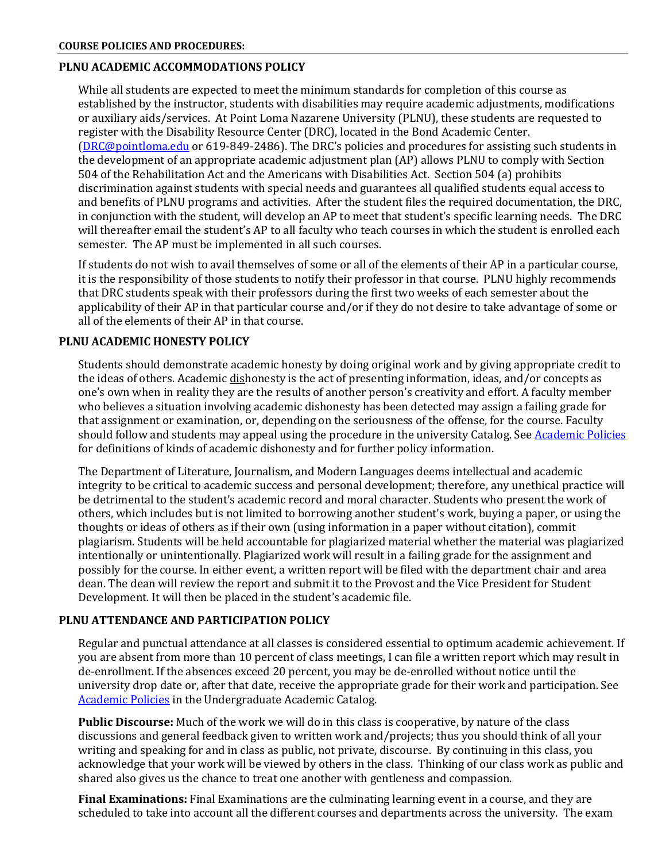## **PLNU ACADEMIC ACCOMMODATIONS POLICY**

While all students are expected to meet the minimum standards for completion of this course as established by the instructor, students with disabilities may require academic adjustments, modifications or auxiliary aids/services. At Point Loma Nazarene University (PLNU), these students are requested to register with the Disability Resource Center (DRC), located in the Bond Academic Center. [\(DRC@pointloma.edu](mailto:DRC@pointloma.edu) or 619-849-2486). The DRC's policies and procedures for assisting such students in the development of an appropriate academic adjustment plan (AP) allows PLNU to comply with Section 504 of the Rehabilitation Act and the Americans with Disabilities Act. Section 504 (a) prohibits discrimination against students with special needs and guarantees all qualified students equal access to and benefits of PLNU programs and activities. After the student files the required documentation, the DRC, in conjunction with the student, will develop an AP to meet that student's specific learning needs. The DRC will thereafter email the student's AP to all faculty who teach courses in which the student is enrolled each semester. The AP must be implemented in all such courses.

If students do not wish to avail themselves of some or all of the elements of their AP in a particular course, it is the responsibility of those students to notify their professor in that course. PLNU highly recommends that DRC students speak with their professors during the first two weeks of each semester about the applicability of their AP in that particular course and/or if they do not desire to take advantage of some or all of the elements of their AP in that course.

## **PLNU ACADEMIC HONESTY POLICY**

Students should demonstrate academic honesty by doing original work and by giving appropriate credit to the ideas of others. Academic dishonesty is the act of presenting information, ideas, and/or concepts as one's own when in reality they are the results of another person's creativity and effort. A faculty member who believes a situation involving academic dishonesty has been detected may assign a failing grade for that assignment or examination, or, depending on the seriousness of the offense, for the course. Faculty should follow and students may appeal using the procedure in the university Catalog. Se[e Academic Policies](http://catalog.pointloma.edu/content.php?catoid=18&navoid=1278) for definitions of kinds of academic dishonesty and for further policy information.

The Department of Literature, Journalism, and Modern Languages deems intellectual and academic integrity to be critical to academic success and personal development; therefore, any unethical practice will be detrimental to the student's academic record and moral character. Students who present the work of others, which includes but is not limited to borrowing another student's work, buying a paper, or using the thoughts or ideas of others as if their own (using information in a paper without citation), commit plagiarism. Students will be held accountable for plagiarized material whether the material was plagiarized intentionally or unintentionally. Plagiarized work will result in a failing grade for the assignment and possibly for the course. In either event, a written report will be filed with the department chair and area dean. The dean will review the report and submit it to the Provost and the Vice President for Student Development. It will then be placed in the student's academic file.

#### **PLNU ATTENDANCE AND PARTICIPATION POLICY**

Regular and punctual attendance at all classes is considered essential to optimum academic achievement. If you are absent from more than 10 percent of class meetings, I can file a written report which may result in de-enrollment. If the absences exceed 20 percent, you may be de-enrolled without notice until the university drop date or, after that date, receive the appropriate grade for their work and participation. See [Academic Policies](http://catalog.pointloma.edu/content.php?catoid=18&navoid=1278) in the Undergraduate Academic Catalog.

**Public Discourse:** Much of the work we will do in this class is cooperative, by nature of the class discussions and general feedback given to written work and/projects; thus you should think of all your writing and speaking for and in class as public, not private, discourse. By continuing in this class, you acknowledge that your work will be viewed by others in the class. Thinking of our class work as public and shared also gives us the chance to treat one another with gentleness and compassion.

**Final Examinations:** Final Examinations are the culminating learning event in a course, and they are scheduled to take into account all the different courses and departments across the university. The exam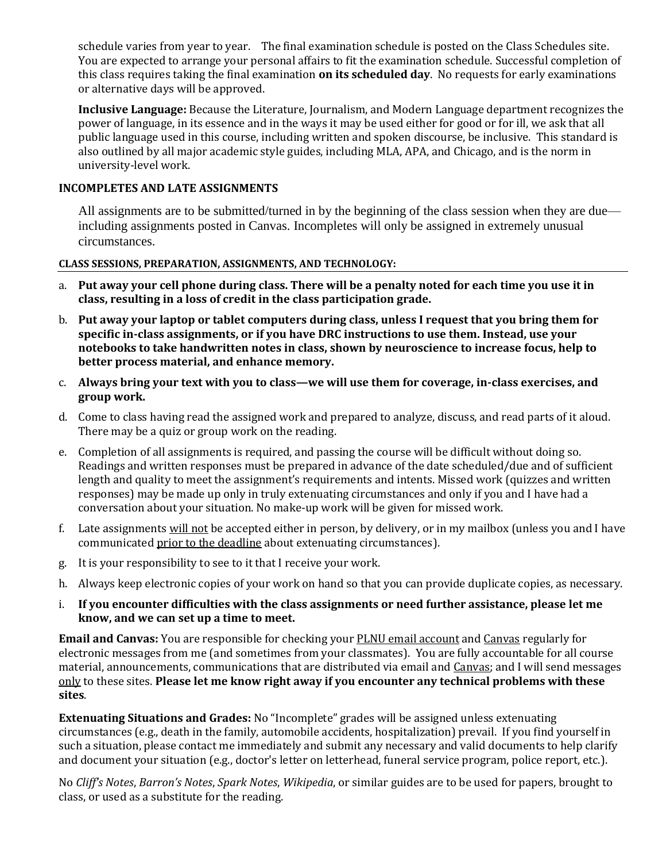schedule varies from year to year. The final examination schedule is posted on the Class Schedules site. You are expected to arrange your personal affairs to fit the examination schedule. Successful completion of this class requires taking the final examination **on its scheduled day**. No requests for early examinations or alternative days will be approved.

**Inclusive Language:** Because the Literature, Journalism, and Modern Language department recognizes the power of language, in its essence and in the ways it may be used either for good or for ill, we ask that all public language used in this course, including written and spoken discourse, be inclusive. This standard is also outlined by all major academic style guides, including MLA, APA, and Chicago, and is the norm in university-level work.

## **INCOMPLETES AND LATE ASSIGNMENTS**

All assignments are to be submitted/turned in by the beginning of the class session when they are due including assignments posted in Canvas. Incompletes will only be assigned in extremely unusual circumstances.

## **CLASS SESSIONS, PREPARATION, ASSIGNMENTS, AND TECHNOLOGY:**

- a. **Put away your cell phone during class. There will be a penalty noted for each time you use it in class, resulting in a loss of credit in the class participation grade.**
- b. **Put away your laptop or tablet computers during class, unless I request that you bring them for specific in-class assignments, or if you have DRC instructions to use them. Instead, use your notebooks to take handwritten notes in class, shown by neuroscience to increase focus, help to better process material, and enhance memory.**
- c. **Always bring your text with you to class—we will use them for coverage, in-class exercises, and group work.**
- d. Come to class having read the assigned work and prepared to analyze, discuss, and read parts of it aloud. There may be a quiz or group work on the reading.
- e. Completion of all assignments is required, and passing the course will be difficult without doing so. Readings and written responses must be prepared in advance of the date scheduled/due and of sufficient length and quality to meet the assignment's requirements and intents. Missed work (quizzes and written responses) may be made up only in truly extenuating circumstances and only if you and I have had a conversation about your situation. No make-up work will be given for missed work.
- f. Late assignments will not be accepted either in person, by delivery, or in my mailbox (unless you and I have communicated prior to the deadline about extenuating circumstances).
- g. It is your responsibility to see to it that I receive your work.
- h. Always keep electronic copies of your work on hand so that you can provide duplicate copies, as necessary.
- i. **If you encounter difficulties with the class assignments or need further assistance, please let me know, and we can set up a time to meet.**

**Email and Canvas:** You are responsible for checking your PLNU email account and Canvas regularly for electronic messages from me (and sometimes from your classmates). You are fully accountable for all course material, announcements, communications that are distributed via email and Canvas; and I will send messages only to these sites. **Please let me know right away if you encounter any technical problems with these sites**.

**Extenuating Situations and Grades:** No "Incomplete" grades will be assigned unless extenuating circumstances (e.g., death in the family, automobile accidents, hospitalization) prevail. If you find yourself in such a situation, please contact me immediately and submit any necessary and valid documents to help clarify and document your situation (e.g., doctor's letter on letterhead, funeral service program, police report, etc.).

No *Cliff's Notes*, *Barron's Notes*, *Spark Notes*, *Wikipedia*, or similar guides are to be used for papers, brought to class, or used as a substitute for the reading.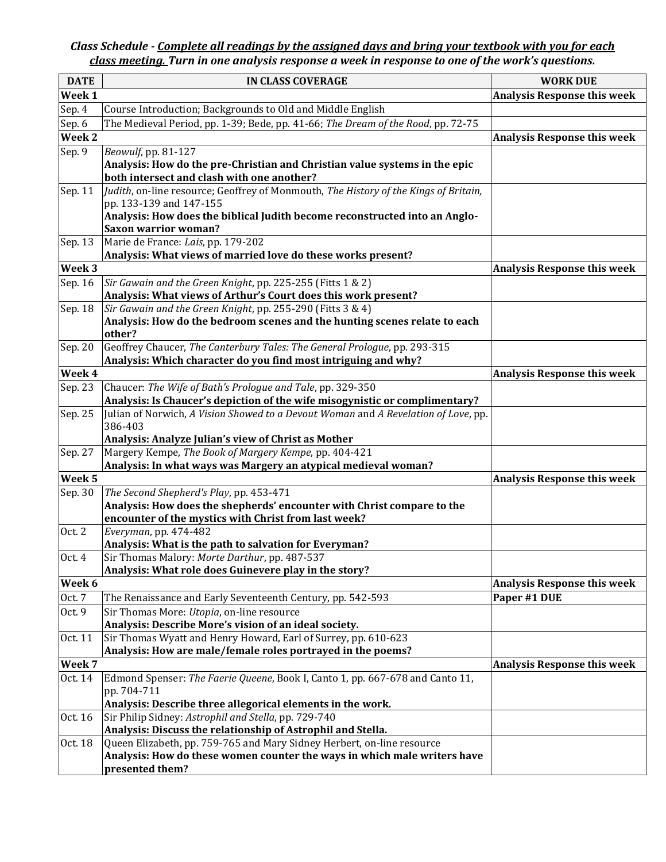## *Class Schedule - Complete all readings by the assigned days and bring your textbook with you for each class meeting. Turn in one analysis response a week in response to one of the work's questions.*

| <b>DATE</b>       | <b>IN CLASS COVERAGE</b>                                                                                                                           | <b>WORK DUE</b>                    |
|-------------------|----------------------------------------------------------------------------------------------------------------------------------------------------|------------------------------------|
| Week 1            |                                                                                                                                                    | <b>Analysis Response this week</b> |
| Sep. 4            | Course Introduction; Backgrounds to Old and Middle English                                                                                         |                                    |
| Sep. 6            | The Medieval Period, pp. 1-39; Bede, pp. 41-66; The Dream of the Rood, pp. 72-75                                                                   |                                    |
| Week <sub>2</sub> |                                                                                                                                                    | <b>Analysis Response this week</b> |
| Sep. 9            | Beowulf, pp. 81-127                                                                                                                                |                                    |
|                   | Analysis: How do the pre-Christian and Christian value systems in the epic                                                                         |                                    |
|                   | both intersect and clash with one another?                                                                                                         |                                    |
| Sep. 11           | Judith, on-line resource; Geoffrey of Monmouth, The History of the Kings of Britain,                                                               |                                    |
|                   | pp. 133-139 and 147-155                                                                                                                            |                                    |
|                   | Analysis: How does the biblical Judith become reconstructed into an Anglo-                                                                         |                                    |
|                   | <b>Saxon warrior woman?</b>                                                                                                                        |                                    |
| Sep. 13           | Marie de France: Lais, pp. 179-202                                                                                                                 |                                    |
|                   | Analysis: What views of married love do these works present?                                                                                       |                                    |
| Week 3            |                                                                                                                                                    | <b>Analysis Response this week</b> |
| Sep. 16           | Sir Gawain and the Green Knight, pp. 225-255 (Fitts 1 & 2)                                                                                         |                                    |
|                   | Analysis: What views of Arthur's Court does this work present?                                                                                     |                                    |
| Sep. 18           | Sir Gawain and the Green Knight, pp. 255-290 (Fitts 3 & 4)<br>Analysis: How do the bedroom scenes and the hunting scenes relate to each            |                                    |
|                   | other?                                                                                                                                             |                                    |
| Sep. 20           | Geoffrey Chaucer, The Canterbury Tales: The General Prologue, pp. 293-315                                                                          |                                    |
|                   | Analysis: Which character do you find most intriguing and why?                                                                                     |                                    |
| Week 4            |                                                                                                                                                    | <b>Analysis Response this week</b> |
| Sep. 23           | Chaucer: The Wife of Bath's Prologue and Tale, pp. 329-350                                                                                         |                                    |
|                   | Analysis: Is Chaucer's depiction of the wife misogynistic or complimentary?                                                                        |                                    |
| Sep. 25           | Julian of Norwich, A Vision Showed to a Devout Woman and A Revelation of Love, pp.                                                                 |                                    |
|                   | 386-403                                                                                                                                            |                                    |
|                   | Analysis: Analyze Julian's view of Christ as Mother                                                                                                |                                    |
| Sep. 27           | Margery Kempe, The Book of Margery Kempe, pp. 404-421                                                                                              |                                    |
|                   | Analysis: In what ways was Margery an atypical medieval woman?                                                                                     |                                    |
| Week <sub>5</sub> |                                                                                                                                                    | <b>Analysis Response this week</b> |
| Sep. 30           | The Second Shepherd's Play, pp. 453-471                                                                                                            |                                    |
|                   | Analysis: How does the shepherds' encounter with Christ compare to the<br>encounter of the mystics with Christ from last week?                     |                                    |
| <b>Oct. 2</b>     | Everyman, pp. 474-482                                                                                                                              |                                    |
|                   | Analysis: What is the path to salvation for Everyman?                                                                                              |                                    |
| Oct. 4            | Sir Thomas Malory: Morte Darthur, pp. 487-537                                                                                                      |                                    |
|                   | Analysis: What role does Guinevere play in the story?                                                                                              |                                    |
| Week 6            |                                                                                                                                                    | <b>Analysis Response this week</b> |
| Oct. 7            | The Renaissance and Early Seventeenth Century, pp. 542-593                                                                                         | Paper #1 DUE                       |
| Oct. 9            | Sir Thomas More: Utopia, on-line resource                                                                                                          |                                    |
|                   | Analysis: Describe More's vision of an ideal society.                                                                                              |                                    |
| Oct. 11           | Sir Thomas Wyatt and Henry Howard, Earl of Surrey, pp. 610-623                                                                                     |                                    |
|                   | Analysis: How are male/female roles portrayed in the poems?                                                                                        |                                    |
| Week 7            |                                                                                                                                                    | <b>Analysis Response this week</b> |
| Oct. 14           | Edmond Spenser: The Faerie Queene, Book I, Canto 1, pp. 667-678 and Canto 11,                                                                      |                                    |
|                   | pp. 704-711                                                                                                                                        |                                    |
|                   | Analysis: Describe three allegorical elements in the work.                                                                                         |                                    |
| Oct. 16           | Sir Philip Sidney: Astrophil and Stella, pp. 729-740                                                                                               |                                    |
|                   | Analysis: Discuss the relationship of Astrophil and Stella.                                                                                        |                                    |
| Oct. 18           | Queen Elizabeth, pp. 759-765 and Mary Sidney Herbert, on-line resource<br>Analysis: How do these women counter the ways in which male writers have |                                    |
|                   | presented them?                                                                                                                                    |                                    |
|                   |                                                                                                                                                    |                                    |